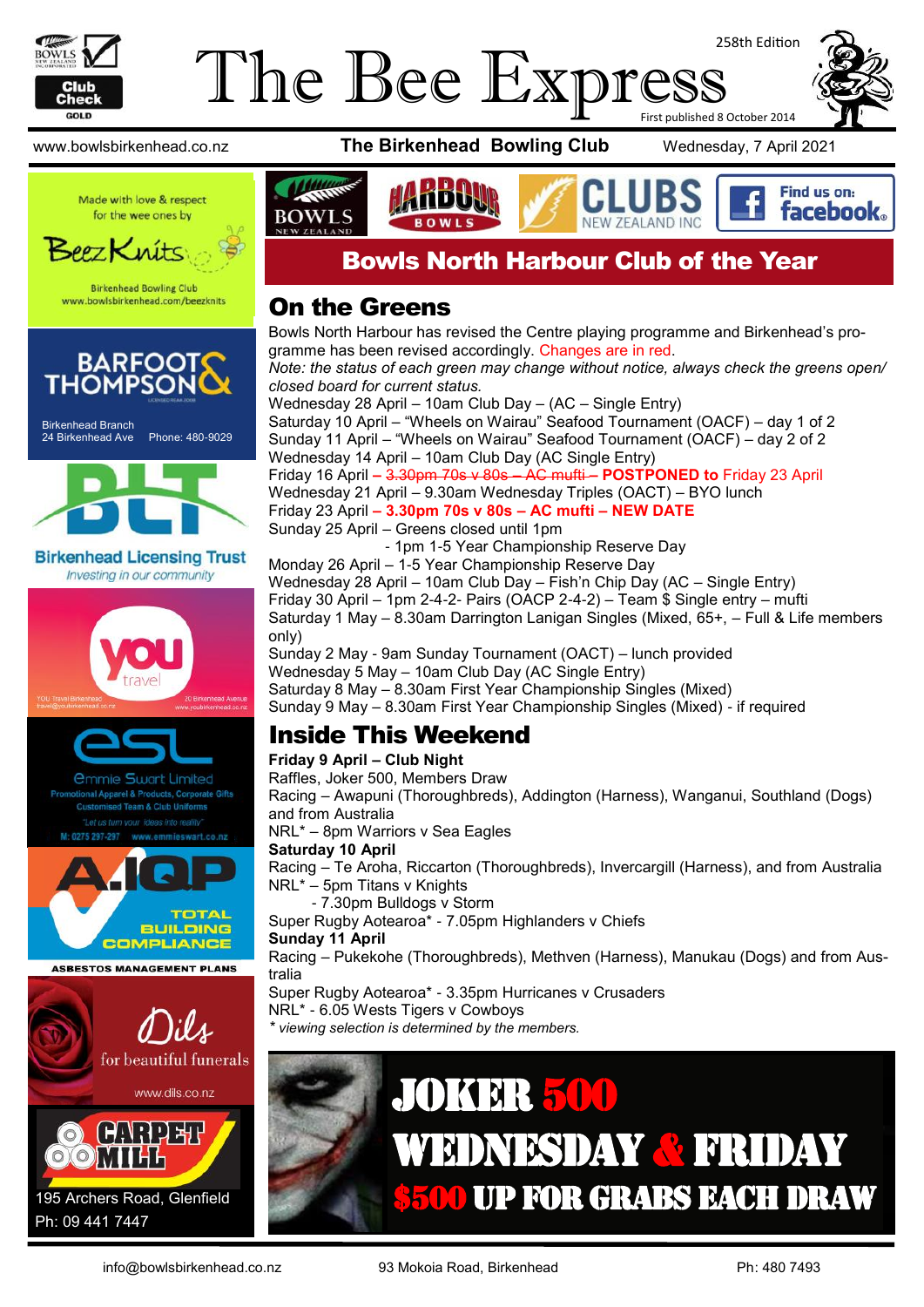

#### The Bee Express 258th Edition First published 8 October 2014

www.bowlsbirkenhead.co.nz **The Birkenhead Bowling Club** Wednesday, 7 April 2021



Made with love & respect for the wee ones by



**Birkenhead Bowling Club** www.bowlsbirkenhead.com/beezknits





**Birkenhead Licensing Trust** Investing in our community





**Team & Club Uniforms** 



**ASBESTOS MANAGEMENT PLANS** 



Ph: 09 441 7447



#### Bowls North Harbour Club of the Year

#### On the Greens

Bowls North Harbour has revised the Centre playing programme and Birkenhead's programme has been revised accordingly. Changes are in red. *Note: the status of each green may change without notice, always check the greens open/ closed board for current status.* Wednesday 28 April – 10am Club Day – (AC – Single Entry) Saturday 10 April – "Wheels on Wairau" Seafood Tournament (OACF) – day 1 of 2 Sunday 11 April – "Wheels on Wairau" Seafood Tournament (OACF) – day 2 of 2 Wednesday 14 April – 10am Club Day (AC Single Entry) Friday 16 April **–** 3.30pm 70s v 80s – AC mufti **– POSTPONED to** Friday 23 April Wednesday 21 April – 9.30am Wednesday Triples (OACT) – BYO lunch Friday 23 April **– 3.30pm 70s v 80s – AC mufti – NEW DATE** Sunday 25 April – Greens closed until 1pm - 1pm 1-5 Year Championship Reserve Day Monday 26 April – 1-5 Year Championship Reserve Day Wednesday 28 April – 10am Club Day – Fish'n Chip Day (AC – Single Entry) Friday 30 April – 1pm 2-4-2- Pairs (OACP 2-4-2) – Team  $\hat{\mathcal{S}}$  Single entry – mufti Saturday 1 May – 8.30am Darrington Lanigan Singles (Mixed, 65+, – Full & Life members

only) Sunday 2 May - 9am Sunday Tournament (OACT) – lunch provided Wednesday 5 May – 10am Club Day (AC Single Entry) Saturday 8 May – 8.30am First Year Championship Singles (Mixed)

Sunday 9 May – 8.30am First Year Championship Singles (Mixed) - if required

### Inside This Weekend

#### **Friday 9 April – Club Night**

Raffles, Joker 500, Members Draw Racing – Awapuni (Thoroughbreds), Addington (Harness), Wanganui, Southland (Dogs) and from Australia NRL\* – 8pm Warriors v Sea Eagles **Saturday 10 April**

Racing – Te Aroha, Riccarton (Thoroughbreds), Invercargill (Harness), and from Australia NRL\* – 5pm Titans v Knights

- 7.30pm Bulldogs v Storm

Super Rugby Aotearoa\* - 7.05pm Highlanders v Chiefs **Sunday 11 April**

Racing – Pukekohe (Thoroughbreds), Methven (Harness), Manukau (Dogs) and from Australia

Super Rugby Aotearoa\* - 3.35pm Hurricanes v Crusaders

NRL\* - 6.05 Wests Tigers v Cowboys

*\* viewing selection is determined by the members.*

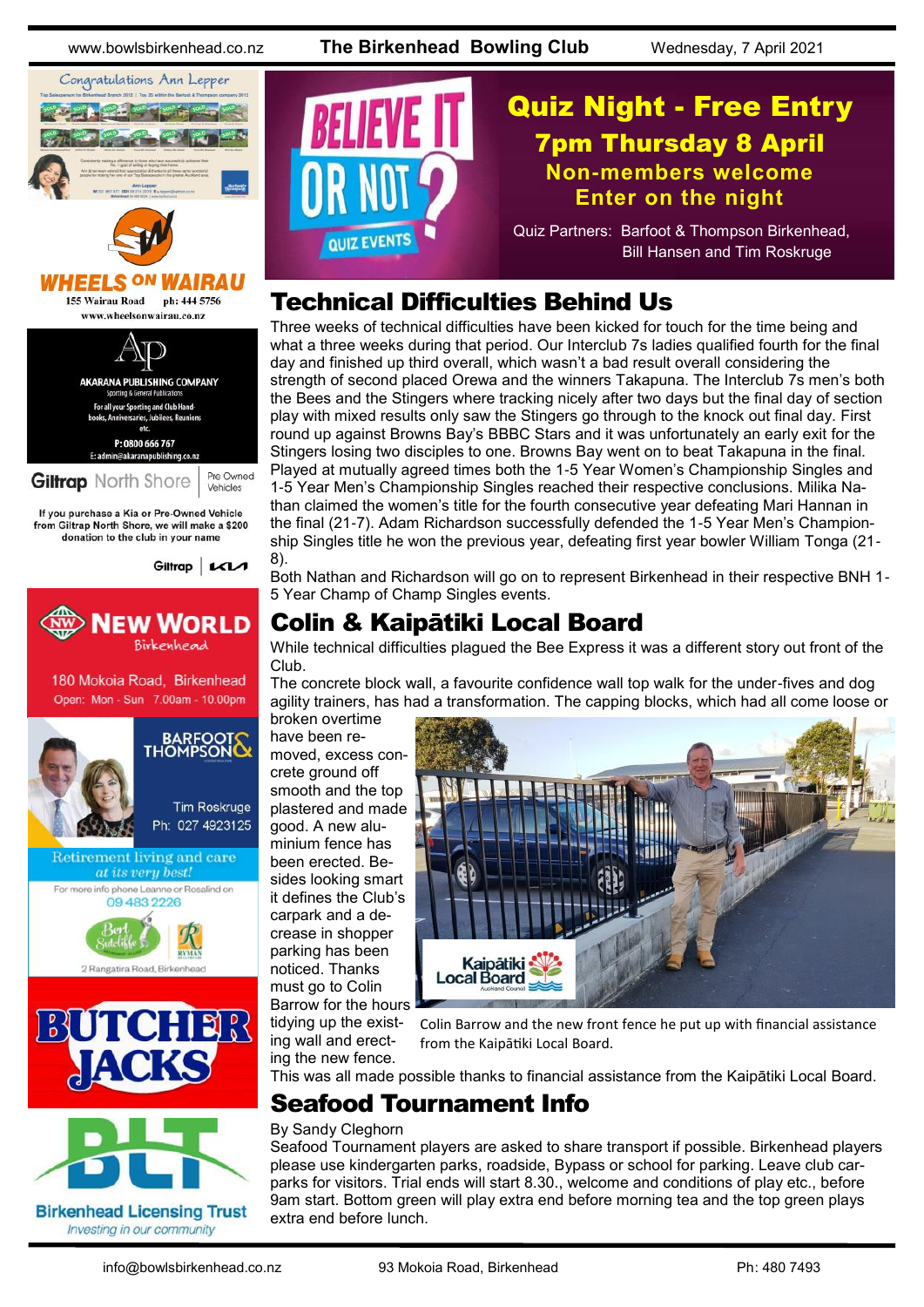www.bowlsbirkenhead.co.nz **The Birkenhead Bowling Club** Wednesday, 7 April 2021



# **HEELS ON**

155 Wairau Road ph: 444 5756 www.wheelsonwairau.co.nz



If you purchase a Kia or Pre-Owned Vehicle from Giltrap North Shore, we will make a \$200<br>donation to the club in your name













#### Technical Difficulties Behind Us

Three weeks of technical difficulties have been kicked for touch for the time being and what a three weeks during that period. Our Interclub 7s ladies qualified fourth for the final day and finished up third overall, which wasn't a bad result overall considering the strength of second placed Orewa and the winners Takapuna. The Interclub 7s men's both the Bees and the Stingers where tracking nicely after two days but the final day of section play with mixed results only saw the Stingers go through to the knock out final day. First round up against Browns Bay's BBBC Stars and it was unfortunately an early exit for the Stingers losing two disciples to one. Browns Bay went on to beat Takapuna in the final. Played at mutually agreed times both the 1-5 Year Women's Championship Singles and 1-5 Year Men's Championship Singles reached their respective conclusions. Milika Nathan claimed the women's title for the fourth consecutive year defeating Mari Hannan in the final (21-7). Adam Richardson successfully defended the 1-5 Year Men's Championship Singles title he won the previous year, defeating first year bowler William Tonga (21- 8).

Both Nathan and Richardson will go on to represent Birkenhead in their respective BNH 1- 5 Year Champ of Champ Singles events.

#### Colin & Kaipātiki Local Board

While technical difficulties plagued the Bee Express it was a different story out front of the Club.

The concrete block wall, a favourite confidence wall top walk for the under-fives and dog agility trainers, has had a transformation. The capping blocks, which had all come loose or

broken overtime have been removed, excess concrete ground off smooth and the top plastered and made good. A new aluminium fence has been erected. Besides looking smart it defines the Club's carpark and a decrease in shopper parking has been noticed. Thanks must go to Colin Barrow for the hours tidying up the existing wall and erecting the new fence.



Colin Barrow and the new front fence he put up with financial assistance from the Kaipātiki Local Board.

This was all made possible thanks to financial assistance from the Kaipātiki Local Board.

### Seafood Tournament Info

#### By Sandy Cleghorn

Seafood Tournament players are asked to share transport if possible. Birkenhead players please use kindergarten parks, roadside, Bypass or school for parking. Leave club carparks for visitors. Trial ends will start 8.30., welcome and conditions of play etc., before 9am start. Bottom green will play extra end before morning tea and the top green plays extra end before lunch.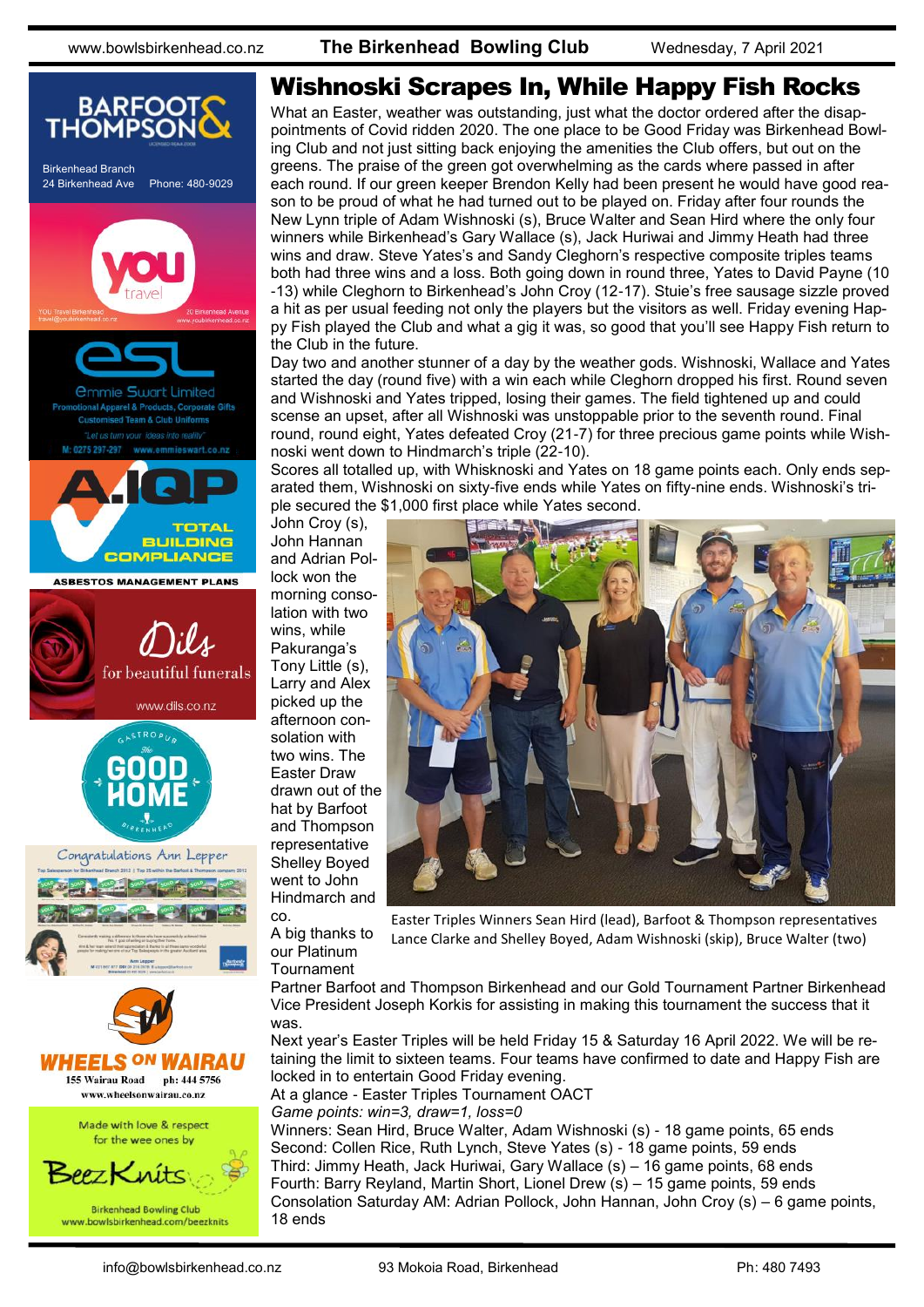

#### Wishnoski Scrapes In, While Happy Fish Rocks

What an Easter, weather was outstanding, just what the doctor ordered after the disappointments of Covid ridden 2020. The one place to be Good Friday was Birkenhead Bowling Club and not just sitting back enjoying the amenities the Club offers, but out on the greens. The praise of the green got overwhelming as the cards where passed in after each round. If our green keeper Brendon Kelly had been present he would have good reason to be proud of what he had turned out to be played on. Friday after four rounds the New Lynn triple of Adam Wishnoski (s), Bruce Walter and Sean Hird where the only four winners while Birkenhead's Gary Wallace (s), Jack Huriwai and Jimmy Heath had three wins and draw. Steve Yates's and Sandy Cleghorn's respective composite triples teams both had three wins and a loss. Both going down in round three, Yates to David Payne (10 -13) while Cleghorn to Birkenhead's John Croy (12-17). Stuie's free sausage sizzle proved a hit as per usual feeding not only the players but the visitors as well. Friday evening Happy Fish played the Club and what a gig it was, so good that you'll see Happy Fish return to the Club in the future.

Day two and another stunner of a day by the weather gods. Wishnoski, Wallace and Yates started the day (round five) with a win each while Cleghorn dropped his first. Round seven and Wishnoski and Yates tripped, losing their games. The field tightened up and could scense an upset, after all Wishnoski was unstoppable prior to the seventh round. Final round, round eight, Yates defeated Croy (21-7) for three precious game points while Wishnoski went down to Hindmarch's triple (22-10).

Scores all totalled up, with Whisknoski and Yates on 18 game points each. Only ends separated them, Wishnoski on sixty-five ends while Yates on fifty-nine ends. Wishnoski's triple secured the \$1,000 first place while Yates second.

John Croy (s), John Hannan and Adrian Pollock won the morning consolation with two wins, while Pakuranga's Tony Little (s), Larry and Alex picked up the afternoon consolation with two wins. The Easter Draw drawn out of the hat by Barfoot and Thompson representative Shelley Boyed went to John Hindmarch and

co. A big thanks to our Platinum **Tournament** 



Easter Triples Winners Sean Hird (lead), Barfoot & Thompson representatives Lance Clarke and Shelley Boyed, Adam Wishnoski (skip), Bruce Walter (two)

Partner Barfoot and Thompson Birkenhead and our Gold Tournament Partner Birkenhead Vice President Joseph Korkis for assisting in making this tournament the success that it was.

Next year's Easter Triples will be held Friday 15 & Saturday 16 April 2022. We will be retaining the limit to sixteen teams. Four teams have confirmed to date and Happy Fish are locked in to entertain Good Friday evening.

At a glance - Easter Triples Tournament OACT

*Game points: win=3, draw=1, loss=0*

Winners: Sean Hird, Bruce Walter, Adam Wishnoski (s) - 18 game points, 65 ends Second: Collen Rice, Ruth Lynch, Steve Yates (s) - 18 game points, 59 ends Third: Jimmy Heath, Jack Huriwai, Gary Wallace (s) – 16 game points, 68 ends Fourth: Barry Reyland, Martin Short, Lionel Drew (s) – 15 game points, 59 ends Consolation Saturday AM: Adrian Pollock, John Hannan, John Croy (s) – 6 game points, 18 ends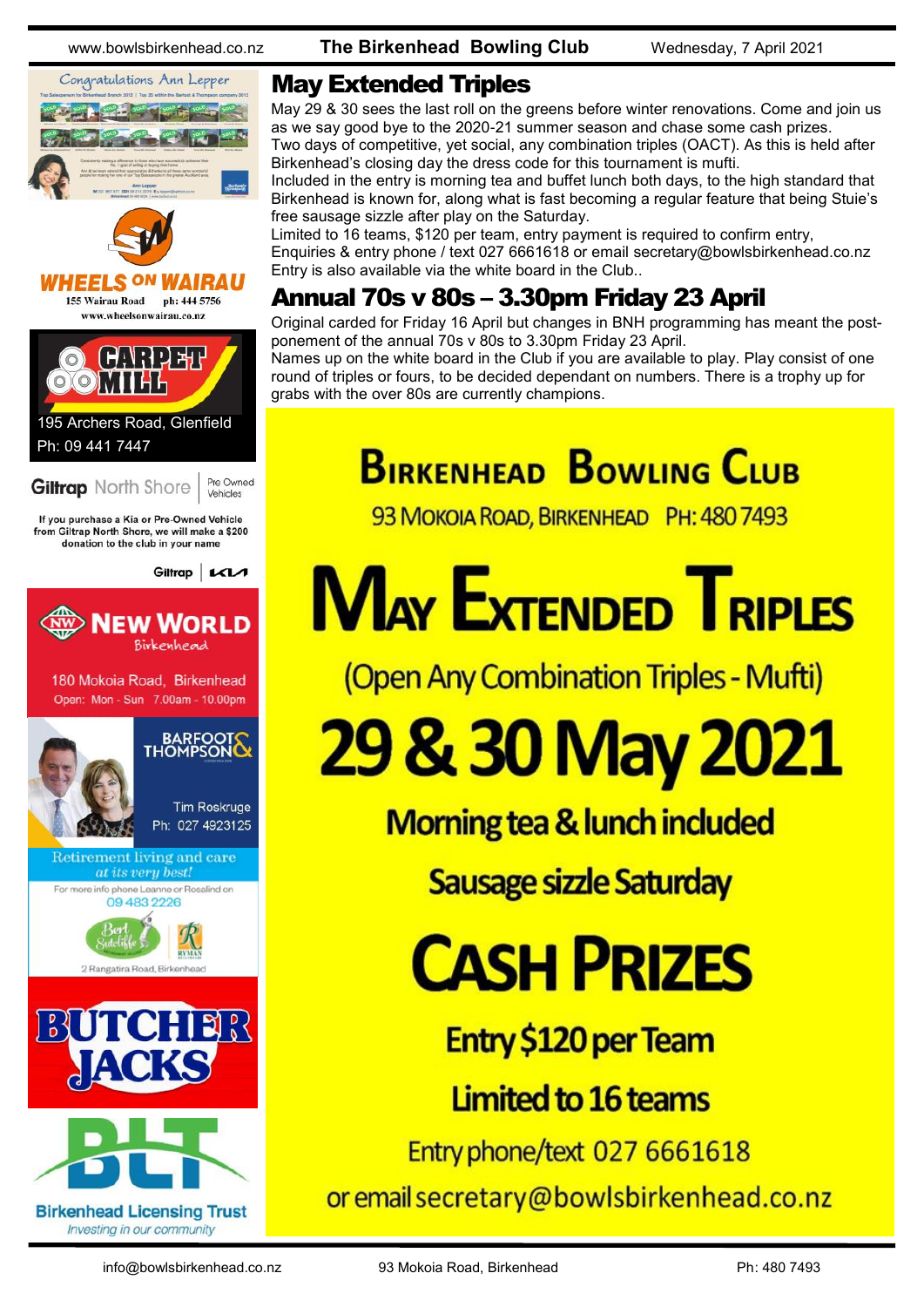



#### **HEELS ON**

155 Wairau Road ph: 444 5756 www.wheelsonwairau.co.nz



# Ph: 09 441 7447

**Giltrap** North Shore

Vehicles

Pre Owned

If you purchase a Kia or Pre-Owned Vehicle from Giltrap North Shore, we will make a \$200 donation to the club in your name

Giltrap | KIA



180 Mokoia Road, Birkenhead Open: Mon - Sun 7.00am - 10.00pm



Retirement living and care at its very best!

For more info phone Leanne or Rosalind on 09 483 2226







www.bowlsbirkenhead.co.nz **The Birkenhead Bowling Club** Wednesday, 7 April 2021

#### May Extended Triples

May 29 & 30 sees the last roll on the greens before winter renovations. Come and join us as we say good bye to the 2020-21 summer season and chase some cash prizes. Two days of competitive, yet social, any combination triples (OACT). As this is held after Birkenhead's closing day the dress code for this tournament is mufti.

Included in the entry is morning tea and buffet lunch both days, to the high standard that Birkenhead is known for, along what is fast becoming a regular feature that being Stuie's free sausage sizzle after play on the Saturday.

Limited to 16 teams, \$120 per team, entry payment is required to confirm entry, Enquiries & entry phone / text 027 6661618 or email [secretary@bowlsbirkenhead.co.nz](mailto:secretary@bowlsbirkenhead.co.nz) Entry is also available via the white board in the Club..

### Annual 70s v 80s – 3.30pm Friday 23 April

Original carded for Friday 16 April but changes in BNH programming has meant the postponement of the annual 70s v 80s to 3.30pm Friday 23 April.

Names up on the white board in the Club if you are available to play. Play consist of one round of triples or fours, to be decided dependant on numbers. There is a trophy up for grabs with the over 80s are currently champions.

# **BIRKENHEAD BOWLING CLUB**

93 MOKOIA ROAD, BIRKENHEAD PH: 480 7493

# **MAY EXTENDED TRIPLES**

(Open Any Combination Triples - Mufti)

29 & 30 May 2021

Morning tea & lunch included

Sausage sizzle Saturday

# **CASH PRIZES**

**Entry \$120 per Team** 

Limited to 16 teams

Entry phone/text 027 6661618

or email secretary@bowlsbirkenhead.co.nz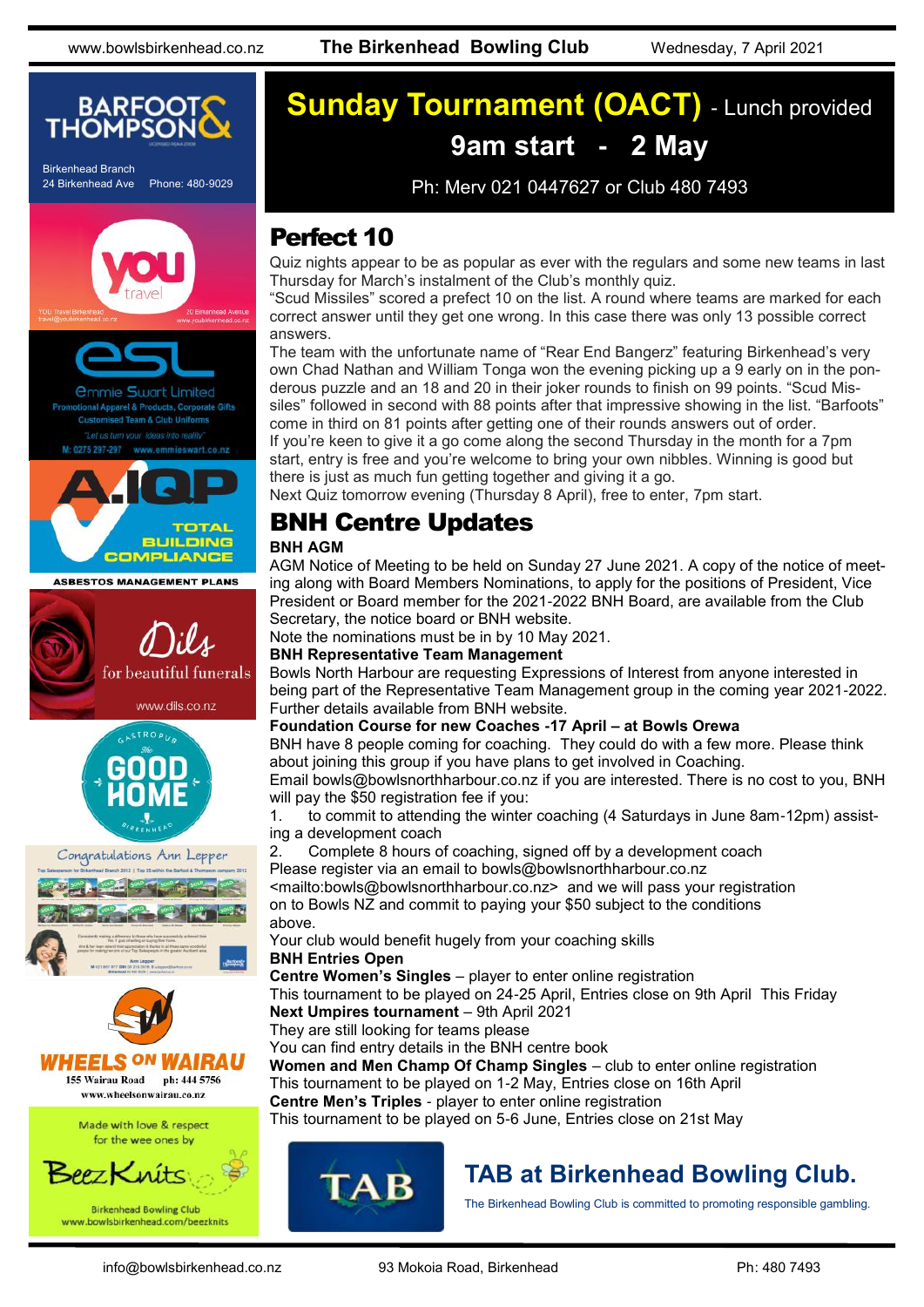

Birkenhead Branch 24 Birkenhead Ave Phone: 480-9029





**COMPLIANCE** 









## **Sunday Tournament (OACT)** - Lunch provided **9am start - 2 May**

Ph: Merv 021 0447627 or Club 480 7493

### Perfect 10

Quiz nights appear to be as popular as ever with the regulars and some new teams in last Thursday for March's instalment of the Club's monthly quiz.

"Scud Missiles" scored a prefect 10 on the list. A round where teams are marked for each correct answer until they get one wrong. In this case there was only 13 possible correct answers.

The team with the unfortunate name of "Rear End Bangerz" featuring Birkenhead's very own Chad Nathan and William Tonga won the evening picking up a 9 early on in the ponderous puzzle and an 18 and 20 in their joker rounds to finish on 99 points. "Scud Missiles" followed in second with 88 points after that impressive showing in the list. "Barfoots" come in third on 81 points after getting one of their rounds answers out of order.

If you're keen to give it a go come along the second Thursday in the month for a 7pm start, entry is free and you're welcome to bring your own nibbles. Winning is good but there is just as much fun getting together and giving it a go.

Next Quiz tomorrow evening (Thursday 8 April), free to enter, 7pm start.

#### BNH Centre Updates

#### **BNH AGM**

AGM Notice of Meeting to be held on Sunday 27 June 2021. A copy of the notice of meeting along with Board Members Nominations, to apply for the positions of President, Vice President or Board member for the 2021-2022 BNH Board, are available from the Club Secretary, the notice board or BNH website.

Note the nominations must be in by 10 May 2021.

**BNH Representative Team Management**

Bowls North Harbour are requesting Expressions of Interest from anyone interested in being part of the Representative Team Management group in the coming year 2021-2022. Further details available from BNH website.

#### **Foundation Course for new Coaches -17 April – at Bowls Orewa**

BNH have 8 people coming for coaching. They could do with a few more. Please think about joining this group if you have plans to get involved in Coaching.

Email [bowls@bowlsnorthharbour.co.nz](mailto:bowls@bowlsnorthharbour.co.nz) if you are interested. There is no cost to you, BNH will pay the \$50 registration fee if you:

1. to commit to attending the winter coaching (4 Saturdays in June 8am-12pm) assisting a development coach

2. Complete 8 hours of coaching, signed off by a development coach Please register via an email to bowls@bowlsnorthharbour.co.nz

<mailto:[bowls@bowlsnorthharbour.co.nz>](mailto:bowls@bowlsnorthharbour.co.nz) and we will pass your registration on to Bowls NZ and commit to paying your \$50 subject to the conditions above.

Your club would benefit hugely from your coaching skills

#### **BNH Entries Open**

**Centre Women's Singles** – player to enter online registration

This tournament to be played on 24-25 April, Entries close on 9th April This Friday **Next Umpires tournament** – 9th April 2021

They are still looking for teams please

You can find entry details in the BNH centre book

**Women and Men Champ Of Champ Singles** – club to enter online registration This tournament to be played on 1-2 May, Entries close on 16th April **Centre Men's Triples** - player to enter online registration

This tournament to be played on 5-6 June, Entries close on 21st May



### **TAB at Birkenhead Bowling Club.**

The Birkenhead Bowling Club is committed to promoting responsible gambling.